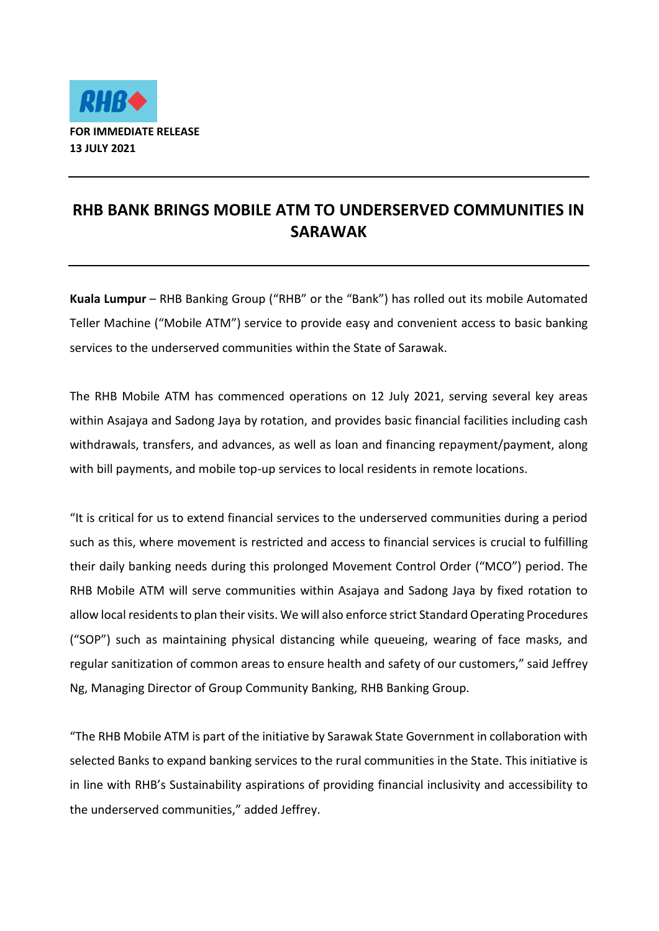

## **RHB BANK BRINGS MOBILE ATM TO UNDERSERVED COMMUNITIES IN SARAWAK**

**Kuala Lumpur** – RHB Banking Group ("RHB" or the "Bank") has rolled out its mobile Automated Teller Machine ("Mobile ATM") service to provide easy and convenient access to basic banking services to the underserved communities within the State of Sarawak.

The RHB Mobile ATM has commenced operations on 12 July 2021, serving several key areas within Asajaya and Sadong Jaya by rotation, and provides basic financial facilities including cash withdrawals, transfers, and advances, as well as loan and financing repayment/payment, along with bill payments, and mobile top-up services to local residents in remote locations.

"It is critical for us to extend financial services to the underserved communities during a period such as this, where movement is restricted and access to financial services is crucial to fulfilling their daily banking needs during this prolonged Movement Control Order ("MCO") period. The RHB Mobile ATM will serve communities within Asajaya and Sadong Jaya by fixed rotation to allow local residents to plan their visits. We will also enforce strict Standard Operating Procedures ("SOP") such as maintaining physical distancing while queueing, wearing of face masks, and regular sanitization of common areas to ensure health and safety of our customers," said Jeffrey Ng, Managing Director of Group Community Banking, RHB Banking Group.

"The RHB Mobile ATM is part of the initiative by Sarawak State Government in collaboration with selected Banks to expand banking services to the rural communities in the State. This initiative is in line with RHB's Sustainability aspirations of providing financial inclusivity and accessibility to the underserved communities," added Jeffrey.